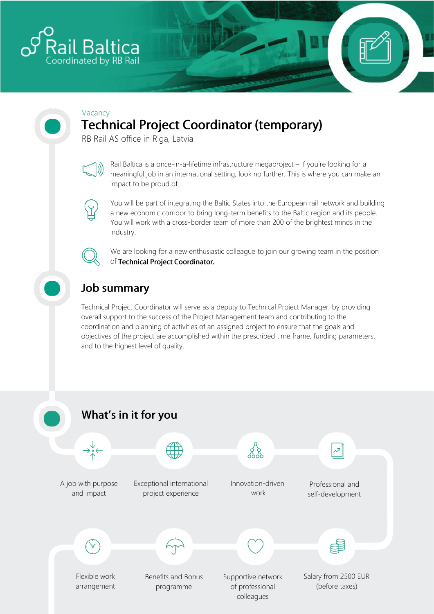

#### Vacancy **Technical Project Coordinator (temporary)**

RB Rail AS office in Riga, Latvia



Rail Baltica is a once-in-a-lifetime infrastructure megaproject – if you're looking for a meaningful job in an international setting, look no further. This is where you can make an impact to be proud of.



You will be part of integrating the Baltic States into the European rail network and building a new economic corridor to bring long-term benefits to the Baltic region and its people. You will work with a cross-border team of more than 200 of the brightest minds in the industry.



We are looking for a new enthusiastic colleague to join our growing team in the position of Technical Project Coordinator.

# **Job summary**

Technical Project Coordinator will serve as a deputy to Technical Project Manager, by providing overall support to the success of the Project Management team and contributing to the coordination and planning of activities of an assigned project to ensure that the goals and objectives of the project are accomplished within the prescribed time frame, funding parameters, and to the highest level of quality.